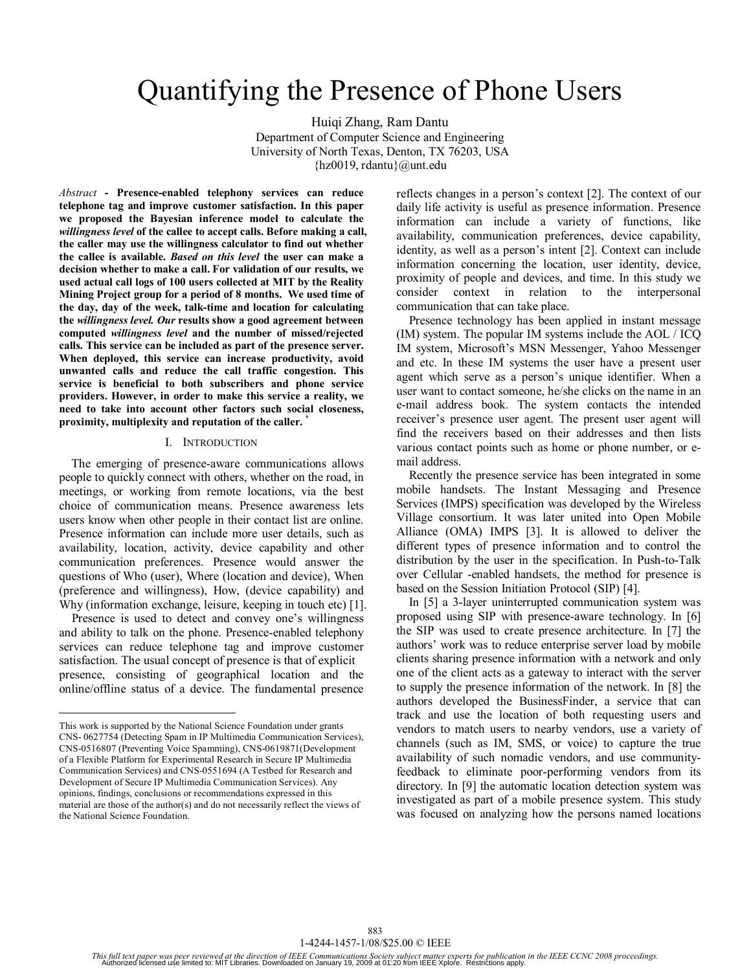# Quantifying the Presence of Phone Users

Huiqi Zhang, Ram Dantu Department of Computer Science and Engineering University of North Texas, Denton, TX 76203, USA {hz0019, rdantu}@unt.edu

*Abstract* **- Presence-enabled telephony services can reduce telephone tag and improve customer satisfaction. In this paper we proposed the Bayesian inference model to calculate the**  *willingness level* **of the callee to accept calls. Before making a call, the caller may use the willingness calculator to find out whether the callee is available.** *Based on this level* **the user can make a decision whether to make a call. For validation of our results, we used actual call logs of 100 users collected at MIT by the Reality Mining Project group for a period of 8 months. We used time of the day, day of the week, talk-time and location for calculating the** *willingness level. Our* **results show a good agreement between computed** *willingness level* **and the number of missed/rejected calls. This service can be included as part of the presence server. When deployed, this service can increase productivity, avoid unwanted calls and reduce the call traffic congestion. This service is beneficial to both subscribers and phone service providers. However, in order to make this service a reality, we need to take into account other factors such social closeness, proximity, multiplexity and reputation of the caller. \***

#### I. INTRODUCTION

 The emerging of presence-aware communications allows people to quickly connect with others, whether on the road, in meetings, or working from remote locations, via the best choice of communication means. Presence awareness lets users know when other people in their contact list are online. Presence information can include more user details, such as availability, location, activity, device capability and other communication preferences. Presence would answer the questions of Who (user), Where (location and device), When (preference and willingness), How, (device capability) and Why (information exchange, leisure, keeping in touch etc) [1].

 Presence is used to detect and convey one's willingness and ability to talk on the phone. Presence-enabled telephony services can reduce telephone tag and improve customer satisfaction. The usual concept of presence is that of explicit presence, consisting of geographical location and the online/offline status of a device. The fundamental presence

1

reflects changes in a person's context [2]. The context of our daily life activity is useful as presence information. Presence information can include a variety of functions, like availability, communication preferences, device capability, identity, as well as a person's intent [2]. Context can include information concerning the location, user identity, device, proximity of people and devices, and time. In this study we consider context in relation to the interpersonal communication that can take place.

 Presence technology has been applied in instant message (IM) system. The popular IM systems include the AOL / ICQ IM system, Microsoft's MSN Messenger, Yahoo Messenger and etc. In these IM systems the user have a present user agent which serve as a person's unique identifier. When a user want to contact someone, he/she clicks on the name in an e-mail address book. The system contacts the intended receiver's presence user agent. The present user agent will find the receivers based on their addresses and then lists various contact points such as home or phone number, or email address.

 Recently the presence service has been integrated in some mobile handsets. The Instant Messaging and Presence Services (IMPS) specification was developed by the Wireless Village consortium. It was later united into Open Mobile Alliance (OMA) IMPS [3]. It is allowed to deliver the different types of presence information and to control the distribution by the user in the specification. In Push-to-Talk over Cellular -enabled handsets, the method for presence is based on the Session Initiation Protocol (SIP) [4].

 In [5] a 3-layer uninterrupted communication system was proposed using SIP with presence-aware technology. In [6] the SIP was used to create presence architecture. In [7] the authors' work was to reduce enterprise server load by mobile clients sharing presence information with a network and only one of the client acts as a gateway to interact with the server to supply the presence information of the network. In [8] the authors developed the BusinessFinder, a service that can track and use the location of both requesting users and vendors to match users to nearby vendors, use a variety of channels (such as IM, SMS, or voice) to capture the true availability of such nomadic vendors, and use communityfeedback to eliminate poor-performing vendors from its directory. In [9] the automatic location detection system was investigated as part of a mobile presence system. This study was focused on analyzing how the persons named locations

This work is supported by the National Science Foundation under grants CNS- 0627754 (Detecting Spam in IP Multimedia Communication Services), CNS-0516807 (Preventing Voice Spamming), CNS-0619871(Development of a Flexible Platform for Experimental Research in Secure IP Multimedia Communication Services) and CNS-0551694 (A Testbed for Research and Development of Secure IP Multimedia Communication Services). Any opinions, findings, conclusions or recommendations expressed in this material are those of the author(s) and do not necessarily reflect the views of the National Science Foundation.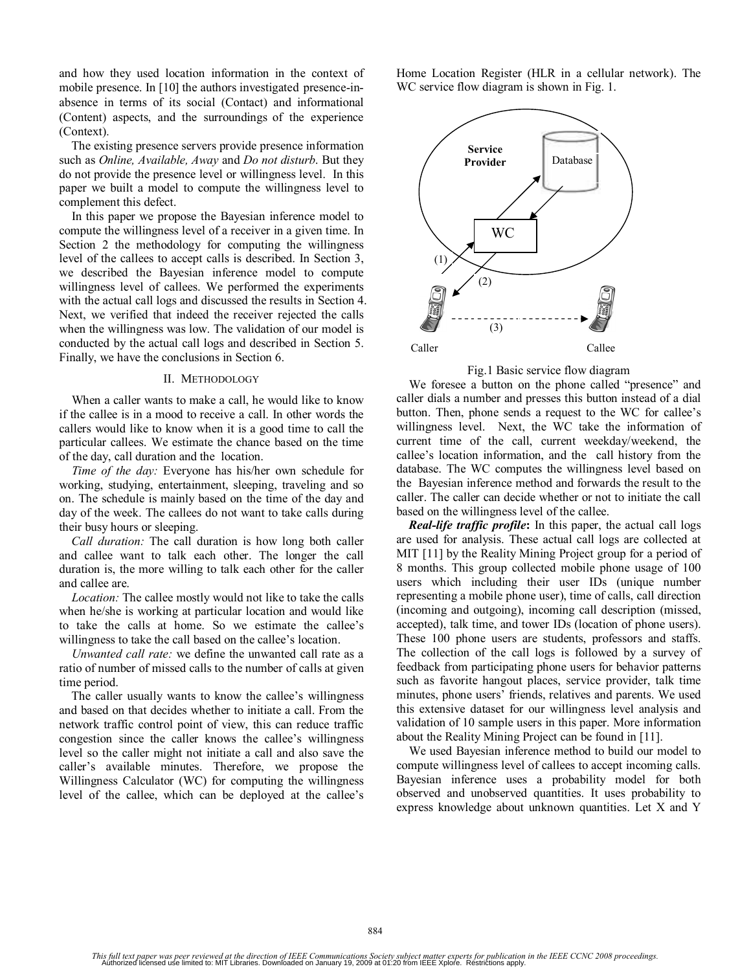and how they used location information in the context of mobile presence. In [10] the authors investigated presence-inabsence in terms of its social (Contact) and informational (Content) aspects, and the surroundings of the experience (Context).

 The existing presence servers provide presence information such as *Online, Available, Away* and *Do not disturb*. But they do not provide the presence level or willingness level. In this paper we built a model to compute the willingness level to complement this defect.

 In this paper we propose the Bayesian inference model to compute the willingness level of a receiver in a given time. In Section 2 the methodology for computing the willingness level of the callees to accept calls is described. In Section 3, we described the Bayesian inference model to compute willingness level of callees. We performed the experiments with the actual call logs and discussed the results in Section 4. Next, we verified that indeed the receiver rejected the calls when the willingness was low. The validation of our model is conducted by the actual call logs and described in Section 5. Finally, we have the conclusions in Section 6.

## II. METHODOLOGY

 When a caller wants to make a call, he would like to know if the callee is in a mood to receive a call. In other words the callers would like to know when it is a good time to call the particular callees. We estimate the chance based on the time of the day, call duration and the location.

 *Time of the day:* Everyone has his/her own schedule for working, studying, entertainment, sleeping, traveling and so on. The schedule is mainly based on the time of the day and day of the week. The callees do not want to take calls during their busy hours or sleeping.

 *Call duration:* The call duration is how long both caller and callee want to talk each other. The longer the call duration is, the more willing to talk each other for the caller and callee are.

 *Location:* The callee mostly would not like to take the calls when he/she is working at particular location and would like to take the calls at home. So we estimate the callee's willingness to take the call based on the callee's location.

 *Unwanted call rate:* we define the unwanted call rate as a ratio of number of missed calls to the number of calls at given time period.

 The caller usually wants to know the callee's willingness and based on that decides whether to initiate a call. From the network traffic control point of view, this can reduce traffic congestion since the caller knows the callee's willingness level so the caller might not initiate a call and also save the caller's available minutes. Therefore, we propose the Willingness Calculator (WC) for computing the willingness level of the callee, which can be deployed at the callee's Home Location Register (HLR in a cellular network). The WC service flow diagram is shown in Fig. 1.



Fig.1 Basic service flow diagram

 We foresee a button on the phone called "presence" and caller dials a number and presses this button instead of a dial button. Then, phone sends a request to the WC for callee's willingness level. Next, the WC take the information of current time of the call, current weekday/weekend, the callee's location information, and the call history from the database. The WC computes the willingness level based on the Bayesian inference method and forwards the result to the caller. The caller can decide whether or not to initiate the call based on the willingness level of the callee.

 *Real-life traffic profile***:** In this paper, the actual call logs are used for analysis. These actual call logs are collected at MIT [11] by the Reality Mining Project group for a period of 8 months. This group collected mobile phone usage of 100 users which including their user IDs (unique number representing a mobile phone user), time of calls, call direction (incoming and outgoing), incoming call description (missed, accepted), talk time, and tower IDs (location of phone users). These 100 phone users are students, professors and staffs. The collection of the call logs is followed by a survey of feedback from participating phone users for behavior patterns such as favorite hangout places, service provider, talk time minutes, phone users' friends, relatives and parents. We used this extensive dataset for our willingness level analysis and validation of 10 sample users in this paper. More information about the Reality Mining Project can be found in [11].

 We used Bayesian inference method to build our model to compute willingness level of callees to accept incoming calls. Bayesian inference uses a probability model for both observed and unobserved quantities. It uses probability to express knowledge about unknown quantities. Let X and Y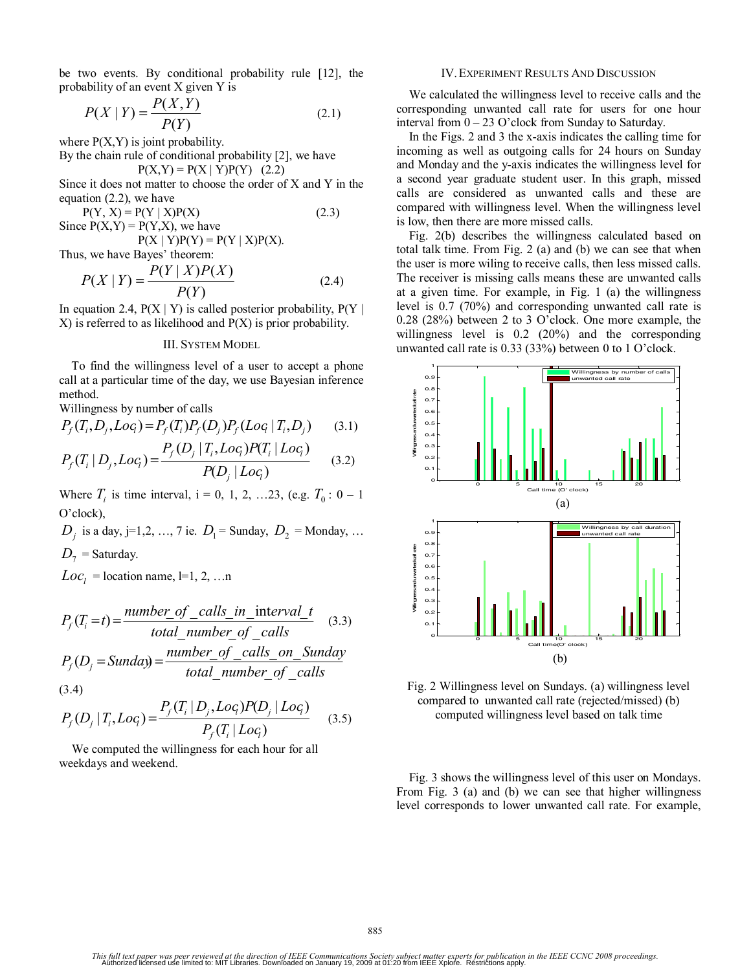be two events. By conditional probability rule [12], the probability of an event X given Y is

$$
P(X \mid Y) = \frac{P(X, Y)}{P(Y)}\tag{2.1}
$$

where  $P(X, Y)$  is joint probability.

By the chain rule of conditional probability [2], we have

$$
P(X, Y) = P(X | Y)P(Y) (2.2)
$$

Since it does not matter to choose the order of X and Y in the equation (2.2), we have

 $P(Y, X) = P(Y | X)P(X)$  (2.3) Since  $P(X, Y) = P(Y, X)$ , we have

 $P(X | Y)P(Y) = P(Y | X)P(X)$ .

Thus, we have Bayes' theorem:

$$
P(X | Y) = \frac{P(Y | X)P(X)}{P(Y)}
$$
 (2.4)

In equation 2.4,  $P(X | Y)$  is called posterior probability,  $P(Y | Y)$  $X$ ) is referred to as likelihood and  $P(X)$  is prior probability.

## III. SYSTEM MODEL

 To find the willingness level of a user to accept a phone call at a particular time of the day, we use Bayesian inference method.

Willingness by number of calls

$$
P_f(T_i, D_j, Loq) = P_f(T_i)P_f(D_j)P_f(Loq | T_i, D_j)
$$
(3.1)

$$
P_f(T_i | D_j, LoC_j) = \frac{P_f(D_j | T_i, LoC_j)P(T_i | LoC_j)}{P(D_j | Loc_l)}
$$
(3.2)

Where  $T_i$  is time interval, i = 0, 1, 2, ...23, (e.g.  $T_0$ : 0 – 1 O'clock),

*D<sub>i</sub>* is a day, j=1,2, …, 7 ie. *D*<sub>1</sub> = Sunday, *D*<sub>2</sub> = Monday, ...  $D_7$  = Saturday.

 $Loc<sub>1</sub> = location name, l=1, 2, ...n$ 

$$
P_f(T_i = t) = \frac{number\_of\_cells\_in\_interval_t}{total\_number\_of\_cells} \tag{3.3}
$$
\n
$$
P_f(D_j = Sunday) = \frac{number\_of\_cells\_on\_Sunday}{total\_number\_of\_cells} \tag{3.4}
$$

$$
P_f(D_j | T_i, Log) = \frac{P_f(T_i | D_j, Log)P(D_j | Log)}{P_f(T_i | Log)} \tag{3.5}
$$

 We computed the willingness for each hour for all weekdays and weekend.

### IV.EXPERIMENT RESULTS AND DISCUSSION

 We calculated the willingness level to receive calls and the corresponding unwanted call rate for users for one hour interval from  $0 - 23$  O'clock from Sunday to Saturday.

 In the Figs. 2 and 3 the x-axis indicates the calling time for incoming as well as outgoing calls for 24 hours on Sunday and Monday and the y-axis indicates the willingness level for a second year graduate student user. In this graph, missed calls are considered as unwanted calls and these are compared with willingness level. When the willingness level is low, then there are more missed calls.

 Fig. 2(b) describes the willingness calculated based on total talk time. From Fig. 2 (a) and (b) we can see that when the user is more wiling to receive calls, then less missed calls. The receiver is missing calls means these are unwanted calls at a given time. For example, in Fig. 1 (a) the willingness level is 0.7 (70%) and corresponding unwanted call rate is 0.28 (28%) between 2 to 3 O'clock. One more example, the willingness level is 0.2 (20%) and the corresponding unwanted call rate is 0.33 (33%) between 0 to 1 O'clock.



Fig. 2 Willingness level on Sundays. (a) willingness level compared to unwanted call rate (rejected/missed) (b) computed willingness level based on talk time

 Fig. 3 shows the willingness level of this user on Mondays. From Fig. 3 (a) and (b) we can see that higher willingness level corresponds to lower unwanted call rate. For example,

This full text paper was peer reviewed at the direction of IEEE Communications Society subject matter experts for publication in the IEEE CCNC 2008 proceedings.<br>Authorized licensed use limited to: MIT Libraries. Downloaded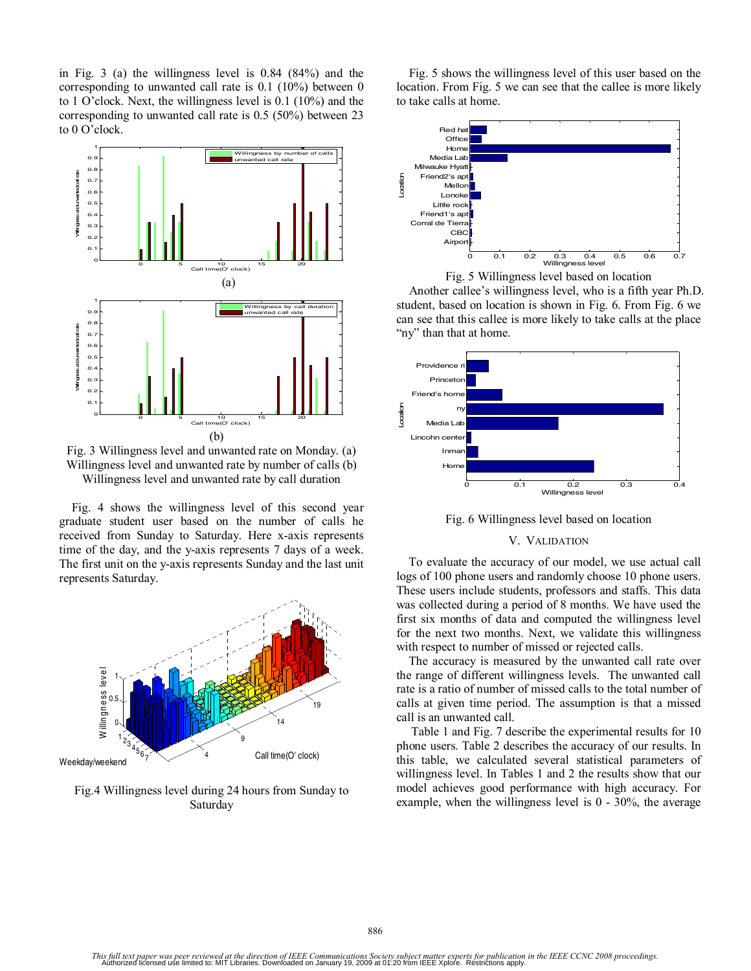in Fig. 3 (a) the willingness level is 0.84 (84%) and the corresponding to unwanted call rate is 0.1 (10%) between 0 to 1 O'clock. Next, the willingness level is 0.1 (10%) and the corresponding to unwanted call rate is 0.5 (50%) between 23 to 0 O'clock.



Fig. 3 Willingness level and unwanted rate on Monday. (a) Willingness level and unwanted rate by number of calls (b) Willingness level and unwanted rate by call duration

 Fig. 4 shows the willingness level of this second year graduate student user based on the number of calls he received from Sunday to Saturday. Here x-axis represents time of the day, and the y-axis represents 7 days of a week. The first unit on the y-axis represents Sunday and the last unit represents Saturday.



Fig.4 Willingness level during 24 hours from Sunday to Saturday

 Fig. 5 shows the willingness level of this user based on the location. From Fig. 5 we can see that the callee is more likely to take calls at home.





 Another callee's willingness level, who is a fifth year Ph.D. student, based on location is shown in Fig. 6. From Fig. 6 we can see that this callee is more likely to take calls at the place "ny" than that at home.



Fig. 6 Willingness level based on location

## V. VALIDATION

 To evaluate the accuracy of our model, we use actual call logs of 100 phone users and randomly choose 10 phone users. These users include students, professors and staffs. This data was collected during a period of 8 months. We have used the first six months of data and computed the willingness level for the next two months. Next, we validate this willingness with respect to number of missed or rejected calls.

 The accuracy is measured by the unwanted call rate over the range of different willingness levels. The unwanted call rate is a ratio of number of missed calls to the total number of calls at given time period. The assumption is that a missed call is an unwanted call.

 Table 1 and Fig. 7 describe the experimental results for 10 phone users. Table 2 describes the accuracy of our results. In this table, we calculated several statistical parameters of willingness level. In Tables 1 and 2 the results show that our model achieves good performance with high accuracy. For example, when the willingness level is 0 - 30%, the average